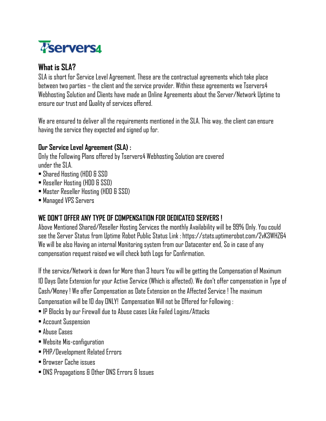

## **What is SLA?**

SLA is short for Service Level Agreement. These are the contractual agreements which take place between two parties – the client and the service provider. Within these agreements we Tservers4 Webhosting Solution and Clients have made an Online Agreements about the Server/Network Uptime to ensure our trust and Quality of services offered.

We are ensured to deliver all the requirements mentioned in the SLA. This way, the client can ensure having the service they expected and signed up for.

## **Our Service Level Agreement (SLA) :**

Only the Following Plans offered by Tservers4 Webhosting Solution are covered under the SLA.

- Shared Hosting (HDD & SSD
- Reseller Hosting (HDD & SSD)
- Master Reseller Hosting (HDD & SSD)
- Managed VPS Servers

## **WE DON'T OFFER ANY TYPE OF COMPENSATION FOR DEDICATED SERVERS !**

Above Mentioned Shared/Reseller Hosting Services the monthly Availability will be 99% Only.You could see the Server Status from Uptime Robot Public Status Link : https://stats.uptimerobot.com/2vK3WHZ64 We will be also Having an internal Monitoring system from our Datacenter end, So in case of any compensation request raised we will check both Logs for Confirmation.

If the service/Network is down for More than 3 hours You will be getting the Compensation of Maximum 10 Days Date Extension for your Active Service (Which is affected). We don't offer compensation in Type of Cash/Money ! We offer Compensation as Date Extension on the Affected Service ! The maximum Compensation will be 10 day ONLY! Compensation Will not be Offered for Following :

- IP Blocks by our Firewall due to Abuse cases Like Failed Logins/Attacks
- Account Suspension
- Abuse Cases
- Website Mis-configuration
- PHP/Development Related Errors
- Browser Cache issues
- DNS Propagations & Other DNS Errors & Issues